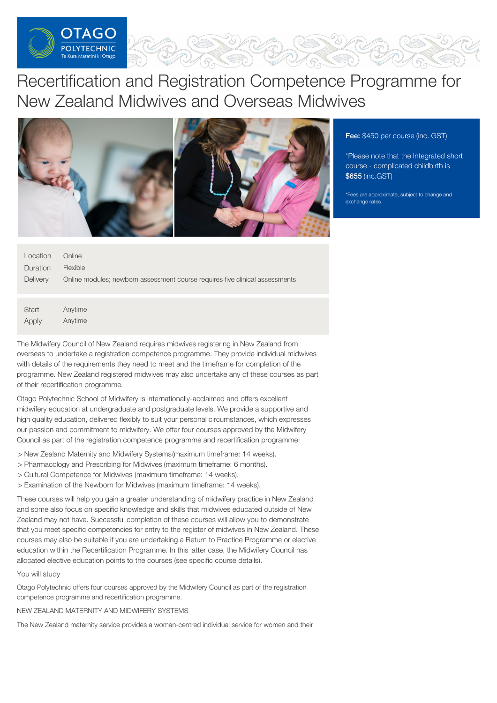

# Recertification and Registration Competence Programme for New Zealand Midwives and Overseas Midwives



Fee: \$450 per course (inc. GST)

\*Please note that the Integrated short course - complicated childbirth is \$655 (inc.GST)

\*Fees are approximate, subject to change and exchange rates

| Location | Online                                                                       |
|----------|------------------------------------------------------------------------------|
| Duration | <b>Flexible</b>                                                              |
| Delivery | Online modules; newborn assessment course requires five clinical assessments |

**Start** Apply Anytime Anytime

The Midwifery Council of New Zealand requires midwives registering in New Zealand from overseas to undertake a registration competence programme. They provide individual midwives with details of the requirements they need to meet and the timeframe for completion of the programme. New Zealand registered midwives may also undertake any of these courses as part of their recertification programme.

Otago Polytechnic School of Midwifery is internationally-acclaimed and offers excellent midwifery education at undergraduate and postgraduate levels. We provide a supportive and high quality education, delivered flexibly to suit your personal circumstances, which expresses our passion and commitment to midwifery. We offer four courses approved by the Midwifery Council as part of the registration competence programme and recertification programme:

- > New Zealand Maternity and Midwifery Systems(maximum timeframe: 14 weeks).
- > Pharmacology and Prescribing for Midwives (maximum timeframe: 6 months).
- > Cultural Competence for Midwives (maximum timeframe: 14 weeks).
- > Examination of the Newborn for Midwives (maximum timeframe: 14 weeks).

These courses will help you gain a greater understanding of midwifery practice in New Zealand and some also focus on specific knowledge and skills that midwives educated outside of New Zealand may not have. Successful completion of these courses will allow you to demonstrate that you meet specific competencies for entry to the register of midwives in New Zealand. These courses may also be suitable if you are undertaking a Return to Practice Programme or elective education within the Recertification Programme. In this latter case, the Midwifery Council has allocated elective education points to the courses (see specific course details).

# You will study

Otago Polytechnic offers four courses approved by the Midwifery Council as part of the registration competence programme and recertification programme.

NEW ZEALAND MATERNITY AND MIDWIFERY SYSTEMS

The New Zealand maternity service provides a woman-centred individual service for women and their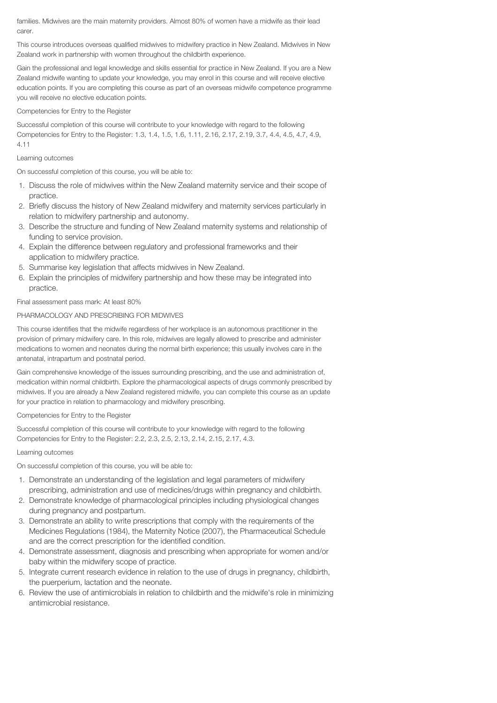families. Midwives are the main maternity providers. Almost 80% of women have a midwife as their lead carer.

This course introduces overseas qualified midwives to midwifery practice in New Zealand. Midwives in New Zealand work in partnership with women throughout the childbirth experience.

Gain the professional and legal knowledge and skills essential for practice in New Zealand. If you are a New Zealand midwife wanting to update your knowledge, you may enrol in this course and will receive elective education points. If you are completing this course as part of an overseas midwife competence programme you will receive no elective education points.

# Competencies for Entry to the Register

Successful completion of this course will contribute to your knowledge with regard to the following Competencies for Entry to the Register: 1.3, 1.4, 1.5, 1.6, 1.11, 2.16, 2.17, 2.19, 3.7, 4.4, 4.5, 4.7, 4.9, 4.11

# Learning outcomes

On successful completion of this course, you will be able to:

- 1. Discuss the role of midwives within the New Zealand maternity service and their scope of practice.
- 2. Briefly discuss the history of New Zealand midwifery and maternity services particularly in relation to midwifery partnership and autonomy.
- 3. Describe the structure and funding of New Zealand maternity systems and relationship of funding to service provision.
- 4. Explain the difference between regulatory and professional frameworks and their application to midwifery practice.
- 5. Summarise key legislation that affects midwives in New Zealand.
- 6. Explain the principles of midwifery partnership and how these may be integrated into practice.

Final assessment pass mark: At least 80%

# PHARMACOLOGY AND PRESCRIBING FOR MIDWIVES

This course identifies that the midwife regardless of her workplace is an autonomous practitioner in the provision of primary midwifery care. In this role, midwives are legally allowed to prescribe and administer medications to women and neonates during the normal birth experience; this usually involves care in the antenatal, intrapartum and postnatal period.

Gain comprehensive knowledge of the issues surrounding prescribing, and the use and administration of, medication within normal childbirth. Explore the pharmacological aspects of drugs commonly prescribed by midwives. If you are already a New Zealand registered midwife, you can complete this course as an update for your practice in relation to pharmacology and midwifery prescribing.

Competencies for Entry to the Register

Successful completion of this course will contribute to your knowledge with regard to the following Competencies for Entry to the Register: 2.2, 2.3, 2.5, 2.13, 2.14, 2.15, 2.17, 4.3.

# Learning outcomes

On successful completion of this course, you will be able to:

- 1. Demonstrate an understanding of the legislation and legal parameters of midwifery prescribing, administration and use of medicines/drugs within pregnancy and childbirth.
- 2. Demonstrate knowledge of pharmacological principles including physiological changes during pregnancy and postpartum.
- 3. Demonstrate an ability to write prescriptions that comply with the requirements of the Medicines Regulations (1984), the Maternity Notice (2007), the Pharmaceutical Schedule and are the correct prescription for the identified condition.
- 4. Demonstrate assessment, diagnosis and prescribing when appropriate for women and/or baby within the midwifery scope of practice.
- 5. Integrate current research evidence in relation to the use of drugs in pregnancy, childbirth, the puerperium, lactation and the neonate.
- 6. Review the use of antimicrobials in relation to childbirth and the midwife's role in minimizing antimicrobial resistance.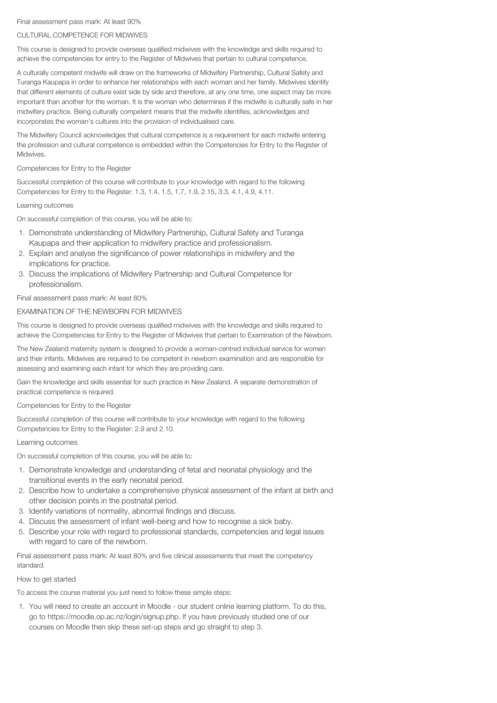#### Final assessment pass mark: At least 90%

## CULTURAL COMPETENCE FOR MIDWIVES

This course is designed to provide overseas qualified midwives with the knowledge and skills required to achieve the competencies for entry to the Register of Midwives that pertain to cultural competence.

A culturally competent midwife will draw on the frameworks of Midwifery Partnership, Cultural Safety and Turanga Kaupapa in order to enhance her relationships with each woman and her family. Midwives identify that different elements of culture exist side by side and therefore, at any one time, one aspect may be more important than another for the woman. It is the woman who determines if the midwife is culturally safe in her midwifery practice. Being culturally competent means that the midwife identifies, acknowledges and incorporates the woman's cultures into the provision of individualised care.

The Midwifery Council acknowledges that cultural competence is a requirement for each midwife entering the profession and cultural competence is embedded within the Competencies for Entry to the Register of **Midwives** 

### Competencies for Entry to the Register

Successful completion of this course will contribute to your knowledge with regard to the following Competencies for Entry to the Register: 1.3, 1.4, 1.5, 1.7, 1.9, 2.15, 3.3, 4.1, 4.9, 4.11.

#### Learning outcomes

On successful completion of this course, you will be able to:

- 1. Demonstrate understanding of Midwifery Partnership, Cultural Safety and Turanga Kaupapa and their application to midwifery practice and professionalism.
- 2. Explain and analyse the significance of power relationships in midwifery and the implications for practice.
- 3. Discuss the implications of Midwifery Partnership and Cultural Competence for professionalism.

Final assessment pass mark: At least 80%

#### EXAMINATION OF THE NEWBORN FOR MIDWIVES

This course is designed to provide overseas qualified midwives with the knowledge and skills required to achieve the Competencies for Entry to the Register of Midwives that pertain to Examination of the Newborn.

The New Zealand maternity system is designed to provide a woman-centred individual service for women and their infants. Midwives are required to be competent in newborn examination and are responsible for assessing and examining each infant for which they are providing care.

Gain the knowledge and skills essential for such practice in New Zealand. A separate demonstration of practical competence is required.

Competencies for Entry to the Register

Successful completion of this course will contribute to your knowledge with regard to the following Competencies for Entry to the Register: 2.9 and 2.10.

#### Learning outcomes

On successful completion of this course, you will be able to:

- 1. Demonstrate knowledge and understanding of fetal and neonatal physiology and the transitional events in the early neonatal period.
- 2. Describe how to undertake a comprehensive physical assessment of the infant at birth and other decision points in the postnatal period.
- 3. Identify variations of normality, abnormal findings and discuss.
- 4. Discuss the assessment of infant well-being and how to recognise a sick baby.
- 5. Describe your role with regard to professional standards, competencies and legal issues with regard to care of the newborn.

Final assessment pass mark: At least 80% and five clinical assessments that meet the competency standard.

#### How to get started

To access the course material you just need to follow these simple steps:

1. You will need to create an account in Moodle - our student online learning platform. To do this, go to https://moodle.op.ac.nz/login/signup.php. If you have previously studied one of our courses on Moodle then skip these set-up steps and go straight to step 3.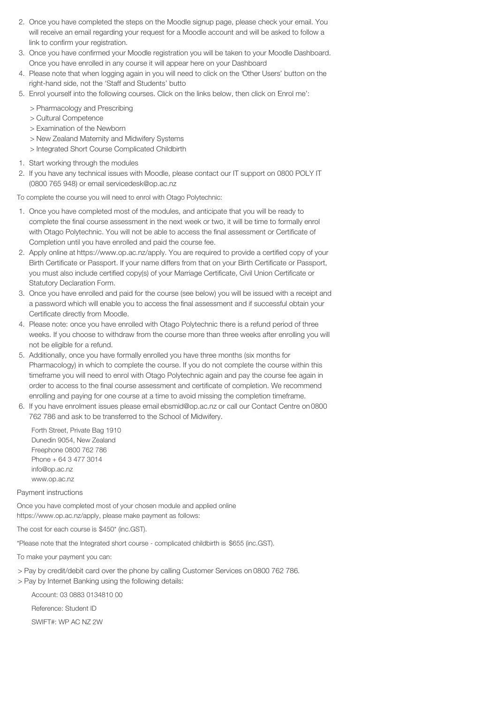- 2. Once you have completed the steps on the Moodle signup page, please check your email. You will receive an email regarding your request for a Moodle account and will be asked to follow a link to confirm your registration.
- 3. Once you have confirmed your Moodle registration you will be taken to your Moodle Dashboard. Once you have enrolled in any course it will appear here on your Dashboard
- 4. Please note that when logging again in you will need to click on the 'Other Users' button on the right-hand side, not the 'Staff and Students' butto
- 5. Enrol yourself into the following courses. Click on the links below, then click on Enrol me':
	- > Pharmacology and Prescribing
	- > Cultural Competence
	- > Examination of the Newborn
	- > New Zealand Maternity and Midwifery Systems
	- > Integrated Short Course Complicated Childbirth
- 1. Start working through the modules
- 2. If you have any technical issues with Moodle, please contact our IT support on 0800 POLY IT (0800 765 948) or email servicedesk@op.ac.nz

To complete the course you will need to enrol with Otago Polytechnic:

- 1. Once you have completed most of the modules, and anticipate that you will be ready to complete the final course assessment in the next week or two, it will be time to formally enrol with Otago Polytechnic. You will not be able to access the final assessment or Certificate of Completion until you have enrolled and paid the course fee.
- 2. Apply online at https://www.op.ac.nz/apply. You are required to provide a certified copy of your Birth Certificate or Passport. If your name differs from that on your Birth Certificate or Passport, you must also include certified copy(s) of your Marriage Certificate, Civil Union Certificate or Statutory Declaration Form.
- 3. Once you have enrolled and paid for the course (see below) you will be issued with a receipt and a password which will enable you to access the final assessment and if successful obtain your Certificate directly from Moodle.
- 4. Please note: once you have enrolled with Otago Polytechnic there is a refund period of three weeks. If you choose to withdraw from the course more than three weeks after enrolling you will not be eligible for a refund.
- 5. Additionally, once you have formally enrolled you have three months (six months for Pharmacology) in which to complete the course. If you do not complete the course within this timeframe you will need to enrol with Otago Polytechnic again and pay the course fee again in order to access to the final course assessment and certificate of completion. We recommend enrolling and paying for one course at a time to avoid missing the completion timeframe.
- 6. If you have enrolment issues please email ebsmid@op.ac.nz or call our Contact Centre on0800 762 786 and ask to be transferred to the School of Midwifery.

Forth Street, Private Bag 1910 Dunedin 9054, New Zealand Freephone 0800 762 786 Phone + 64 3 477 3014 info@op.ac.nz www.op.ac.nz

Payment instructions

Once you have completed most of your chosen module and applied online https://www.op.ac.nz/apply, please make payment as follows:

The cost for each course is \$450\* (inc.GST).

\*Please note that the Integrated short course - complicated childbirth is \$655 (inc.GST).

To make your payment you can:

> Pay by credit/debit card over the phone by calling Customer Services on 0800 762 786.

> Pay by Internet Banking using the following details:

Account: 03 0883 0134810 00

Reference: Student ID

SWIFT#: WP AC NZ 2W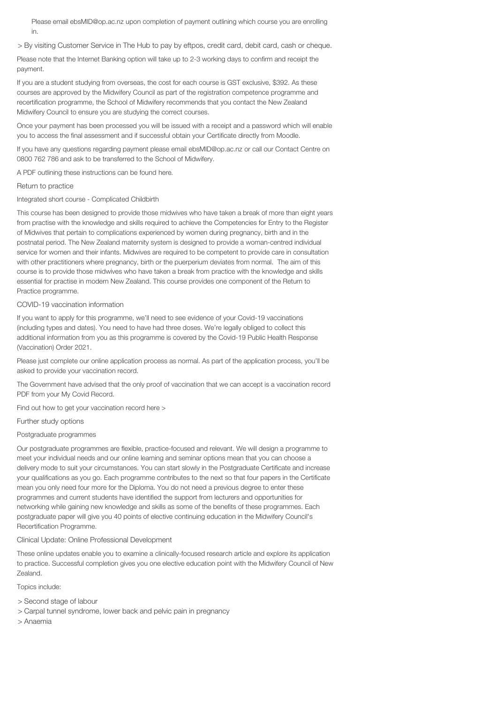Please email ebsMID@op.ac.nz upon completion of payment outlining which course you are enrolling in.

> By visiting Customer Service in The Hub to pay by eftpos, credit card, debit card, cash or cheque.

Please note that the Internet Banking option will take up to 2-3 working days to confirm and receipt the payment.

If you are a student studying from overseas, the cost for each course is GST exclusive, \$392. As these courses are approved by the Midwifery Council as part of the registration competence programme and recertification programme, the School of Midwifery recommends that you contact the New Zealand Midwifery Council to ensure you are studying the correct courses.

Once your payment has been processed you will be issued with a receipt and a password which will enable you to access the final assessment and if successful obtain your Certificate directly from Moodle.

If you have any questions regarding payment please email ebsMID@op.ac.nz or call our Contact Centre on 0800 762 786 and ask to be transferred to the School of Midwifery.

A PDF outlining these instructions can be found here.

## Return to practice

Integrated short course - Complicated Childbirth

This course has been designed to provide those midwives who have taken a break of more than eight years from practise with the knowledge and skills required to achieve the Competencies for Entry to the Register of Midwives that pertain to complications experienced by women during pregnancy, birth and in the postnatal period. The New Zealand maternity system is designed to provide a woman-centred individual service for women and their infants. Midwives are required to be competent to provide care in consultation with other practitioners where pregnancy, birth or the puerperium deviates from normal. The aim of this course is to provide those midwives who have taken a break from practice with the knowledge and skills essential for practise in modern New Zealand. This course provides one component of the Return to Practice programme.

## COVID-19 vaccination information

If you want to apply for this programme, we'll need to see evidence of your Covid-19 vaccinations (including types and dates). You need to have had three doses. We're legally obliged to collect this additional information from you as this programme is covered by the Covid-19 Public Health Response (Vaccination) Order 2021.

Please just complete our online application process as normal. As part of the application process, you'll be asked to provide your vaccination record.

The Government have advised that the only proof of vaccination that we can accept is a vaccination record PDF from your My Covid Record.

Find out how to get your vaccination record here >

## Further study options

#### Postgraduate programmes

Our postgraduate programmes are flexible, practice-focused and relevant. We will design a programme to meet your individual needs and our online learning and seminar options mean that you can choose a delivery mode to suit your circumstances. You can start slowly in the Postgraduate Certificate and increase your qualifications as you go. Each programme contributes to the next so that four papers in the Certificate mean you only need four more for the Diploma. You do not need a previous degree to enter these programmes and current students have identified the support from lecturers and opportunities for networking while gaining new knowledge and skills as some of the benefits of these programmes. Each postgraduate paper will give you 40 points of elective continuing education in the Midwifery Council's Recertification Programme.

## Clinical Update: Online Professional Development

These online updates enable you to examine a clinically-focused research article and explore its application to practice. Successful completion gives you one elective education point with the Midwifery Council of New Zealand.

Topics include:

- > Second stage of labour
- > Carpal tunnel syndrome, lower back and pelvic pain in pregnancy
- > Anaemia